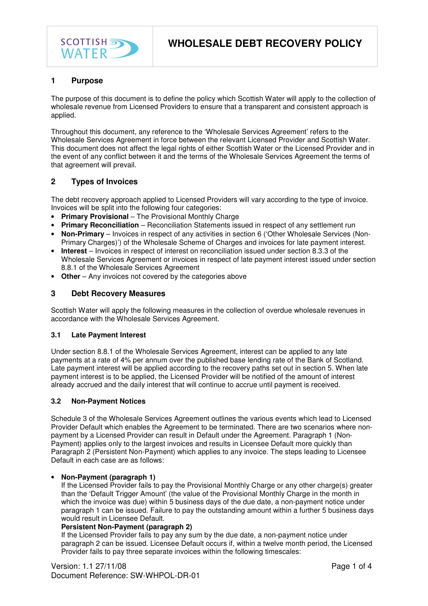

# **1 Purpose**

The purpose of this document is to define the policy which Scottish Water will apply to the collection of wholesale revenue from Licensed Providers to ensure that a transparent and consistent approach is applied.

Throughout this document, any reference to the 'Wholesale Services Agreement' refers to the Wholesale Services Agreement in force between the relevant Licensed Provider and Scottish Water. This document does not affect the legal rights of either Scottish Water or the Licensed Provider and in the event of any conflict between it and the terms of the Wholesale Services Agreement the terms of that agreement will prevail.

# **2 Types of Invoices**

The debt recovery approach applied to Licensed Providers will vary according to the type of invoice. Invoices will be split into the following four categories:

- **Primary Provisional** The Provisional Monthly Charge
- **Primary Reconciliation** Reconciliation Statements issued in respect of any settlement run
- **Non-Primary** Invoices in respect of any activities in section 6 ('Other Wholesale Services (Non-Primary Charges)') of the Wholesale Scheme of Charges and invoices for late payment interest.
- **Interest** Invoices in respect of interest on reconciliation issued under section 8.3.3 of the Wholesale Services Agreement or invoices in respect of late payment interest issued under section 8.8.1 of the Wholesale Services Agreement
- Other Any invoices not covered by the categories above

## **3 Debt Recovery Measures**

Scottish Water will apply the following measures in the collection of overdue wholesale revenues in accordance with the Wholesale Services Agreement.

## **3.1 Late Payment Interest**

Under section 8.8.1 of the Wholesale Services Agreement, interest can be applied to any late payments at a rate of 4% per annum over the published base lending rate of the Bank of Scotland. Late payment interest will be applied according to the recovery paths set out in section 5. When late payment interest is to be applied, the Licensed Provider will be notified of the amount of interest already accrued and the daily interest that will continue to accrue until payment is received.

## **3.2 Non-Payment Notices**

Schedule 3 of the Wholesale Services Agreement outlines the various events which lead to Licensed Provider Default which enables the Agreement to be terminated. There are two scenarios where nonpayment by a Licensed Provider can result in Default under the Agreement. Paragraph 1 (Non-Payment) applies only to the largest invoices and results in Licensee Default more quickly than Paragraph 2 (Persistent Non-Payment) which applies to any invoice. The steps leading to Licensee Default in each case are as follows:

#### • **Non-Payment (paragraph 1)**

If the Licensed Provider fails to pay the Provisional Monthly Charge or any other charge(s) greater than the 'Default Trigger Amount' (the value of the Provisional Monthly Charge in the month in which the invoice was due) within 5 business days of the due date, a non-payment notice under paragraph 1 can be issued. Failure to pay the outstanding amount within a further 5 business days would result in Licensee Default.

## **Persistent Non-Payment (paragraph 2)**

If the Licensed Provider fails to pay any sum by the due date, a non-payment notice under paragraph 2 can be issued. Licensee Default occurs if, within a twelve month period, the Licensed Provider fails to pay three separate invoices within the following timescales: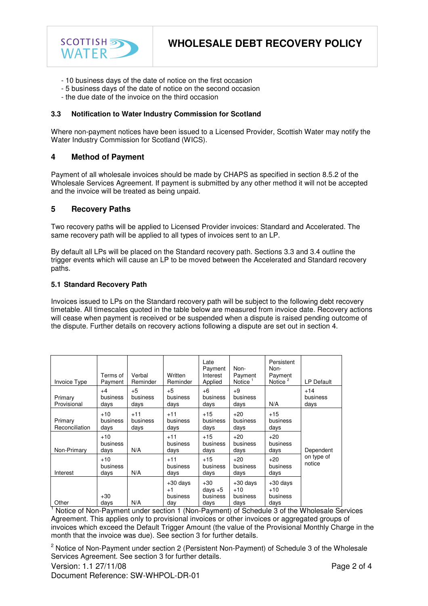

- 10 business days of the date of notice on the first occasion
- 5 business days of the date of notice on the second occasion
- the due date of the invoice on the third occasion

## **3.3 Notification to Water Industry Commission for Scotland**

Where non-payment notices have been issued to a Licensed Provider, Scottish Water may notify the Water Industry Commission for Scotland (WICS).

## **4 Method of Payment**

Payment of all wholesale invoices should be made by CHAPS as specified in section 8.5.2 of the Wholesale Services Agreement. If payment is submitted by any other method it will not be accepted and the invoice will be treated as being unpaid.

## **5 Recovery Paths**

Two recovery paths will be applied to Licensed Provider invoices: Standard and Accelerated. The same recovery path will be applied to all types of invoices sent to an LP.

By default all LPs will be placed on the Standard recovery path. Sections 3.3 and 3.4 outline the trigger events which will cause an LP to be moved between the Accelerated and Standard recovery paths.

#### **5.1 Standard Recovery Path**

Invoices issued to LPs on the Standard recovery path will be subject to the following debt recovery timetable. All timescales quoted in the table below are measured from invoice date. Recovery actions will cease when payment is received or be suspended when a dispute is raised pending outcome of the dispute. Further details on recovery actions following a dispute are set out in section 4.

| Invoice Type              | Terms of<br>Payment       | Verbal<br>Reminder        | Written<br>Reminder                   | Late<br>Payment<br>Interest<br>Applied | Non-<br>Payment<br>Notice <sup><math>1</math></sup> | Persistent<br>Non-<br>Payment<br>Notice <sup>2</sup> | <b>LP Default</b>         |
|---------------------------|---------------------------|---------------------------|---------------------------------------|----------------------------------------|-----------------------------------------------------|------------------------------------------------------|---------------------------|
| Primary<br>Provisional    | $+4$<br>business<br>days  | $+5$<br>business<br>days  | $+5$<br>business<br>days              | $+6$<br>business<br>days               | $+9$<br>business<br>days                            | N/A                                                  | $+14$<br>business<br>days |
| Primary<br>Reconciliation | $+10$<br>business<br>days | $+11$<br>business<br>days | $+11$<br>business<br>days             | $+15$<br>business<br>days              | $+20$<br>business<br>days                           | $+15$<br>business<br>days                            |                           |
| Non-Primary               | $+10$<br>business<br>days | N/A                       | $+11$<br>business<br>days             | $+15$<br>business<br>days              | $+20$<br>business<br>days                           | $+20$<br>business<br>days                            | Dependent                 |
| Interest                  | $+10$<br>business<br>days | N/A                       | $+11$<br>business<br>days             | $+15$<br>business<br>days              | $+20$<br>business<br>days                           | $+20$<br>business<br>days                            | on type of<br>notice      |
| Other                     | $+30$<br>days             | N/A                       | $+30$ days<br>$+1$<br>business<br>day | $+30$<br>days $+5$<br>business<br>days | $+30$ days<br>$+10$<br>business<br>days             | $+30$ days<br>$+10$<br>business<br>days              |                           |

<sup>1</sup> Notice of Non-Payment under section 1 (Non-Payment) of Schedule 3 of the Wholesale Services Agreement. This applies only to provisional invoices or other invoices or aggregated groups of invoices which exceed the Default Trigger Amount (the value of the Provisional Monthly Charge in the month that the invoice was due). See section 3 for further details.

<sup>2</sup> Notice of Non-Payment under section 2 (Persistent Non-Payment) of Schedule 3 of the Wholesale Services Agreement. See section 3 for further details.



Document Reference: SW-WHPOL-DR-01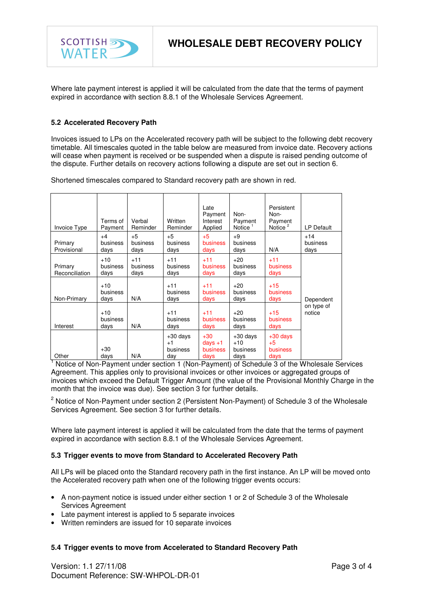

Where late payment interest is applied it will be calculated from the date that the terms of payment expired in accordance with section 8.8.1 of the Wholesale Services Agreement.

## **5.2 Accelerated Recovery Path**

Invoices issued to LPs on the Accelerated recovery path will be subject to the following debt recovery timetable. All timescales quoted in the table below are measured from invoice date. Recovery actions will cease when payment is received or be suspended when a dispute is raised pending outcome of the dispute. Further details on recovery actions following a dispute are set out in section 6.

Shortened timescales compared to Standard recovery path are shown in red.

| Invoice Type              | Terms of<br>Payment       | Verbal<br>Reminder        | Written<br>Reminder                   | Late<br>Payment<br>Interest<br>Applied | Non-<br>Payment<br>Notice <sup><math>1</math></sup> | Persistent<br>Non-<br>Payment<br>Notice $2$ | <b>LP Default</b>         |
|---------------------------|---------------------------|---------------------------|---------------------------------------|----------------------------------------|-----------------------------------------------------|---------------------------------------------|---------------------------|
| Primary<br>Provisional    | $+4$<br>business<br>days  | $+5$<br>business<br>days  | $+5$<br>business<br>days              | $+5$<br><b>business</b><br>days        | $+9$<br>business<br>days                            | N/A                                         | $+14$<br>business<br>days |
| Primary<br>Reconciliation | $+10$<br>business<br>days | $+11$<br>business<br>days | $+11$<br>business<br>days             | $+11$<br>business<br>days              | $+20$<br>business<br>days                           | $+11$<br><b>business</b><br>days            |                           |
| Non-Primary               | $+10$<br>business<br>days | N/A                       | $+11$<br>business<br>days             | $+11$<br><b>business</b><br>days       | $+20$<br>business<br>days                           | $+15$<br>business<br>days                   | Dependent                 |
| Interest                  | $+10$<br>business<br>days | N/A                       | $+11$<br>business<br>days             | $+11$<br><b>business</b><br>days       | $+20$<br>business<br>days                           | $+15$<br>business<br>days                   | on type of<br>notice      |
| Other                     | $+30$<br>days             | N/A                       | $+30$ days<br>$+1$<br>business<br>day | $+30$<br>days $+1$<br>business<br>days | $+30$ days<br>$+10$<br>business<br>days             | $+30$ days<br>$+5$<br>business<br>days      |                           |

<sup>1</sup> Notice of Non-Payment under section 1 (Non-Payment) of Schedule 3 of the Wholesale Services Agreement. This applies only to provisional invoices or other invoices or aggregated groups of invoices which exceed the Default Trigger Amount (the value of the Provisional Monthly Charge in the month that the invoice was due). See section 3 for further details.

<sup>2</sup> Notice of Non-Payment under section 2 (Persistent Non-Payment) of Schedule 3 of the Wholesale Services Agreement. See section 3 for further details.

Where late payment interest is applied it will be calculated from the date that the terms of payment expired in accordance with section 8.8.1 of the Wholesale Services Agreement.

### **5.3 Trigger events to move from Standard to Accelerated Recovery Path**

All LPs will be placed onto the Standard recovery path in the first instance. An LP will be moved onto the Accelerated recovery path when one of the following trigger events occurs:

- A non-payment notice is issued under either section 1 or 2 of Schedule 3 of the Wholesale Services Agreement
- Late payment interest is applied to 5 separate invoices
- Written reminders are issued for 10 separate invoices

## **5.4 Trigger events to move from Accelerated to Standard Recovery Path**